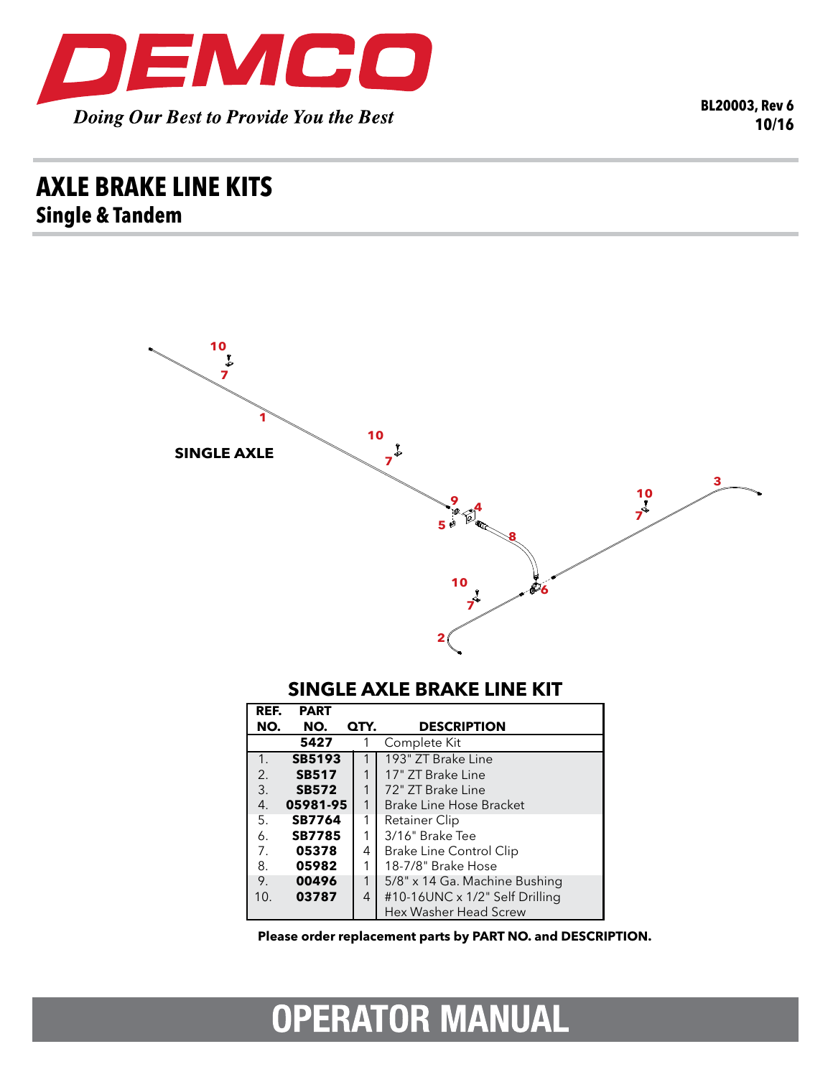

**BL20003, Rev 6 10/16**

## **axle brake line kits Single & Tandem**



## **SINGLE AXLE BRAKE LINE KIT**

| REF.           | <b>PART</b>   |      |                                |
|----------------|---------------|------|--------------------------------|
| NO.            | NO.           | QTY. | <b>DESCRIPTION</b>             |
|                | 5427          |      | Complete Kit                   |
| 1.             | <b>SB5193</b> |      | 193" ZT Brake Line             |
| 2.             | <b>SB517</b>  |      | 17" ZT Brake Line              |
| 3.             | <b>SB572</b>  | 1    | 72" ZT Brake Line              |
| 4.             | 05981-95      | 1    | Brake Line Hose Bracket        |
| 5.             | <b>SB7764</b> | 1    | Retainer Clip                  |
| 6.             | <b>SB7785</b> | 1    | 3/16" Brake Tee                |
| 7 <sub>1</sub> | 05378         | 4    | Brake Line Control Clip        |
| 8.             | 05982         | 1    | 18-7/8" Brake Hose             |
| 9.             | 00496         | 1    | 5/8" x 14 Ga. Machine Bushing  |
| 10.            | 03787         | 4    | #10-16UNC x 1/2" Self Drilling |
|                |               |      | Hex Washer Head Screw          |

**Please order replacement parts by PART NO. and DESCRIPTION.**

## **OPERATOR MANUAL**